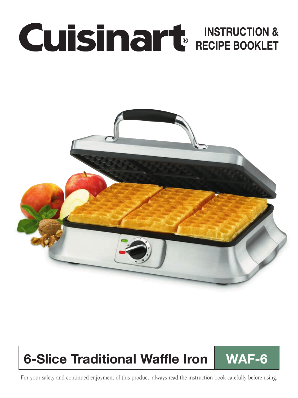# INSTRUCTION & RECIPE BOOKLET



# 6-Slice Traditional Waffle Iron WAF-6

For your safety and continued enjoyment of this product, always read the instruction book carefully before using.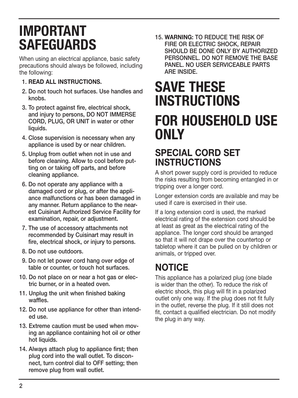# IMPORTANT SAFEGUARDS

When using an electrical appliance, basic safety precautions should always be followed, including the following:

#### 1. READ ALL INSTRUCTIONS.

- 2. Do not touch hot surfaces. Use handles and knobs.
- 3. To protect against fire, electrical shock, and injury to persons, DO NOT IMMERSE CORD, PLUG, OR UNIT in water or other liquids.
- 4. Close supervision is necessary when any appliance is used by or near children.
- 5. Unplug from outlet when not in use and before cleaning. Allow to cool before putting on or taking off parts, and before cleaning appliance.
- 6. Do not operate any appliance with a damaged cord or plug, or after the appliance malfunctions or has been damaged in any manner. Return appliance to the nearest Cuisinart Authorized Service Facility for examination, repair, or adjustment.
- 7. The use of accessory attachments not recommended by Cuisinart may result in fire, electrical shock, or injury to persons.
- 8. Do not use outdoors.
- 9. Do not let power cord hang over edge of table or counter, or touch hot surfaces.
- 10. Do not place on or near a hot gas or electric burner, or in a heated oven.
- 11. Unplug the unit when finished baking waffles.
- 12. Do not use appliance for other than intended use.
- 13. Extreme caution must be used when moving an appliance containing hot oil or other hot liquids.
- 14. Always attach plug to appliance first; then plug cord into the wall outlet. To disconnect, turn control dial to OFF setting; then remove plug from wall outlet.

15. WARNING: TO REDUCE THE RISK OF FIRE OR ELECTRIC SHOCK, REPAIR SHOULD BE DONE ONLY BY AUTHORIZED PERSONNEL. DO NOT REMOVE THE BASE PANEL. NO USER SERVICEABLE PARTS ARE INSIDE.

# SAVE THESE **INSTRUCTIONS** FOR HOUSEHOLD USE ONLY

### SPECIAL CORD SET INSTRUCTIONS

A short power supply cord is provided to reduce the risks resulting from becoming entangled in or tripping over a longer cord.

Longer extension cords are available and may be used if care is exercised in their use.

If a long extension cord is used, the marked electrical rating of the extension cord should be at least as great as the electrical rating of the appliance. The longer cord should be arranged so that it will not drape over the countertop or tabletop where it can be pulled on by children or animals, or tripped over.

## NOTICE

This appliance has a polarized plug (one blade is wider than the other). To reduce the risk of electric shock, this plug will fit in a polarized outlet only one way. If the plug does not fit fully in the outlet, reverse the plug. If it still does not fit, contact a qualified electrician. Do not modify the plug in any way.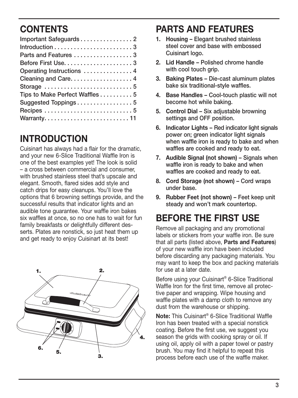### **CONTENTS**

| Parts and Features 3          |
|-------------------------------|
|                               |
| Operating Instructions  4     |
| Cleaning and Care 4           |
|                               |
| Tips to Make Perfect Waffles5 |
| Suggested Toppings5           |
|                               |
|                               |

### **INTRODUCTION**

Cuisinart has always had a flair for the dramatic, and your new 6-Slice Traditional Waffle Iron is one of the best examples yet! The look is solid – a cross between commercial and consumer, with brushed stainless steel that's upscale and elegant. Smooth, flared sides add style and catch drips for easy cleanups. You'll love the options that 6 browning settings provide, and the successful results that indicator lights and an audible tone guarantee. Your waffle iron bakes six waffles at once, so no one has to wait for fun family breakfasts or delightfully different desserts. Plates are nonstick, so just heat them up and get ready to enjoy Cuisinart at its best!



### PARTS AND FEATURES

- 1. Housing Elegant brushed stainless steel cover and base with embossed Cuisinart logo.
- 2. Lid Handle Polished chrome handle with cool touch grip.
- 3. Baking Plates Die-cast aluminum plates bake six traditional-style waffles.
- 4. Base Handles Cool-touch plastic will not become hot while baking.
- 5. Control Dial Six adjustable browning settings and OFF position.
- 6. Indicator Lights Red indicator light signals power on; green indicator light signals when waffle iron is ready to bake and when waffles are cooked and ready to eat.
- 7. Audible Signal (not shown) Signals when waffle iron is ready to bake and when waffles are cooked and ready to eat.
- 8. Cord Storage (not shown) Cord wraps under base.
- 9. Rubber Feet (not shown) Feet keep unit steady and won't mark countertop.

## BEFORE THE FIRST USE

Remove all packaging and any promotional labels or stickers from your waffle iron. Be sure that all parts (listed above, Parts and Features) of your new waffle iron have been included before discarding any packaging materials. You may want to keep the box and packing materials for use at a later date.

Before using your Cuisinart® 6-Slice Traditional Waffle Iron for the first time, remove all protective paper and wrapping. Wipe housing and waffle plates with a damp cloth to remove any dust from the warehouse or shipping.

Note: This Cuisinart® 6-Slice Traditional Waffle Iron has been treated with a special nonstick coating. Before the first use, we suggest you season the grids with cooking spray or oil. If using oil, apply oil with a paper towel or pastry brush. You may find it helpful to repeat this process before each use of the waffle maker.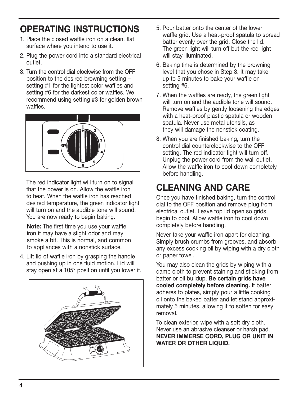### OPERATING INSTRUCTIONS

- 1. Place the closed waffle iron on a clean, flat surface where you intend to use it.
- 2. Plug the power cord into a standard electrical outlet.
- 3. Turn the control dial clockwise from the OFF position to the desired browning setting – setting #1 for the lightest color waffles and setting #6 for the darkest color waffles. We recommend using setting #3 for golden brown waffles.



The red indicator light will turn on to signal that the power is on. Allow the waffle iron to heat. When the waffle iron has reached desired temperature, the green indicator light will turn on and the audible tone will sound. You are now ready to begin baking.

 Note: The first time you use your waffle iron it may have a slight odor and may smoke a bit. This is normal, and common to appliances with a nonstick surface.

4. Lift lid of waffle iron by grasping the handle and pushing up in one fluid motion. Lid will stay open at a 105° position until you lower it.



- 5. Pour batter onto the center of the lower waffle grid. Use a heat-proof spatula to spread batter evenly over the grid. Close the lid. The green light will turn off but the red light will stay illuminated.
- 6. Baking time is determined by the browning level that you chose in Step 3. It may take up to 5 minutes to bake your waffle on setting #6.
- 7. When the waffles are ready, the green light will turn on and the audible tone will sound. Remove waffles by gently loosening the edges with a heat-proof plastic spatula or wooden spatula. Never use metal utensils, as they will damage the nonstick coating.
- 8. When you are finished baking, turn the control dial counterclockwise to the OFF setting. The red indicator light will turn off. Unplug the power cord from the wall outlet. Allow the waffle iron to cool down completely before handling.

## CLEANING AND CARE

Once you have finished baking, turn the control dial to the OFF position and remove plug from electrical outlet. Leave top lid open so grids begin to cool. Allow waffle iron to cool down completely before handling.

Never take your waffle iron apart for cleaning. Simply brush crumbs from grooves, and absorb any excess cooking oil by wiping with a dry cloth or paper towel.

You may also clean the grids by wiping with a damp cloth to prevent staining and sticking from batter or oil buildup. Be certain grids have cooled completely before cleaning. If batter adheres to plates, simply pour a little cooking oil onto the baked batter and let stand approximately 5 minutes, allowing it to soften for easy removal.

To clean exterior, wipe with a soft dry cloth. Never use an abrasive cleanser or harsh pad. Never immerse cord, plug or unit in WATER OR OTHER LIQUID.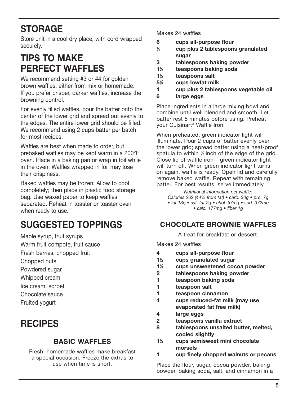### **STORAGE**

Store unit in a cool dry place, with cord wrapped securely.

### TIPS TO MAKE PERFECT WAFFLES

We recommend setting #3 or #4 for golden brown waffles, either from mix or homemade. If you prefer crisper, darker waffles, increase the browning control.

For evenly filled waffles, pour the batter onto the center of the lower grid and spread out evenly to the edges. The entire lower grid should be filled. We recommend using 2 cups batter per batch for most recipes.

Waffles are best when made to order, but prebaked waffles may be kept warm in a 200°F oven. Place in a baking pan or wrap in foil while in the oven. Waffles wrapped in foil may lose their crispiness.

Baked waffles may be frozen. Allow to cool completely; then place in plastic food storage bag. Use waxed paper to keep waffles separated. Reheat in toaster or toaster oven when ready to use.

## SUGGESTED TOPPINGS

Maple syrup, fruit syrups

Warm fruit compote, fruit sauce

Fresh berries, chopped fruit

- Chopped nuts
- Powdered sugar
- Whipped cream
- Ice cream, sorbet
- Chocolate sauce
- Fruited yogurt

### **RECIPES**

#### Basic Waffles

Fresh, homemade waffles make breakfast a special occasion. Freeze the extras to use when time is short.

#### Makes 24 waffles

- 6 cups all-purpose flour
- $\frac{1}{4}$ ⁄4 cup plus 2 tablespoons granulated sugar
- 3 tablespoons baking powder
- 11 ⁄2 teaspoons baking soda
- $1\%$ ⁄2 teaspoons salt
- 51 ⁄4 cups lowfat milk
- 1 cup plus 2 tablespoons vegetable oil
- 6 large eggs

Place ingredients in a large mixing bowl and combine until well blended and smooth. Let batter rest 5 minutes before using. Preheat your Cuisinart® Waffle Iron.

When preheated, green indicator light will illuminate. Pour 2 cups of batter evenly over the lower grid; spread batter using a heat-proof spatula to within  $\frac{1}{2}$  inch of the edge of the grid. Close lid of waffle iron – green indicator light will turn off. When green indicator light turns on again, waffle is ready. Open lid and carefully remove baked waffle. Repeat with remaining batter. For best results, serve immediately.

*Nutritional information per waffle: Calories 262 (44% from fat) • carb. 30g • pro. 7g • fat 13g • sat. fat 2g • chol. 57mg • sod. 372mg • calc. 177mg • fiber 1g*

#### Chocolate Brownie Waffles

A treat for breakfast or dessert.

Makes 24 waffles

- 4 cups all-purpose flour
- 11 ⁄2 cups granulated sugar
- 11 ⁄3 cups unsweetened cocoa powder
- 2 tablespoons baking powder
- 1 teaspoon baking soda
- 1 teaspoon salt
- 1 teaspoon cinnamon
- 4 cups reduced-fat milk (may use evaporated fat free milk)
- 4 large eggs
- 2 teaspoons vanilla extract
- 8 tablespoons unsalted butter, melted, cooled slightly
- $1\%$ cups semisweet mini chocolate morsels
- 1 cup finely chopped walnuts or pecans

Place the flour, sugar, cocoa powder, baking powder, baking soda, salt, and cinnamon in a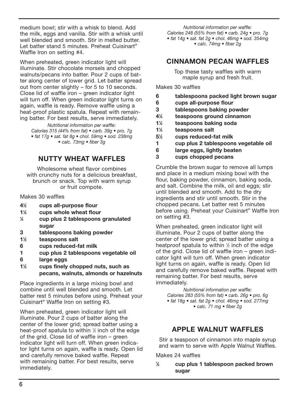medium bowl; stir with a whisk to blend. Add the milk, eggs and vanilla. Stir with a whisk until well blended and smooth. Stir in melted butter. Let batter stand 5 minutes. Preheat Cuisinart® Waffle Iron on setting #4.

When preheated, green indicator light will illuminate. Stir chocolate morsels and chopped walnuts/pecans into batter. Pour 2 cups of batter along center of lower grid. Let batter spread out from center slightly – for 5 to 10 seconds. Close lid of waffle iron – green indicator light will turn off. When green indicator light turns on again, waffle is ready. Remove waffle using a heat-proof plastic spatula. Repeat with remaining batter. For best results, serve immediately.

*Nutritional information per waffle: Calories 315 (44% from fat) • carb. 39g • pro. 7g • fat 17g • sat. fat 8g • chol. 59mg • sod. 238mg • calc. 73mg • fiber 3g*

#### NUTTY WHEAT WAFFI FS

Wholesome wheat flavor combines with crunchy nuts for a delicious breakfast. brunch or snack. Top with warm syrup or fruit compote.

Makes 30 waffles

- 41 ⁄2 cups all-purpose flour
- $1\frac{1}{6}$ ⁄2 cups whole wheat flour
- $\frac{1}{4}$ ⁄4 cup plus 2 tablespoons granulated sugar
- 3 tablespoons baking powder
- 11 ⁄2 teaspoons salt
- 6 cups reduced-fat milk
- 1 cup plus 2 tablespoons vegetable oil
- 6 large eggs
- $1\%$ cups finely chopped nuts, such as pecans, walnuts, almonds or hazelnuts

Place ingredients in a large mixing bowl and combine until well blended and smooth. Let batter rest 5 minutes before using. Preheat your Cuisinart® Waffle Iron on setting #3.

When preheated, green indicator light will illuminate. Pour 2 cups of batter along the center of the lower grid; spread batter using a heat-proof spatula to within  $\frac{1}{2}$  inch of the edge of the grid. Close lid of waffle iron – green indicator light will turn off. When green indicator light turns on again, waffle is ready. Open lid and carefully remove baked waffle. Repeat with remaining batter. For best results, serve immediately.

*Nutritional information per waffle: Calories 248 (55% from fat) • carb. 24g • pro. 7g • fat 14g • sat. fat 2g • chol. 46mg • sod. 354mg • calc. 74mg • fiber 2g*

#### Cinnamon Pecan Waffles

Top these tasty waffles with warm maple syrup and fresh fruit.

Makes 30 waffles

- 6 tablespoons packed light brown sugar
- 6 cups all-purpose flour
- 3 tablespoons baking powder
- 41 ⁄2 teaspoons ground cinnamon
- 11 ⁄2 teaspoons baking soda
- $1\frac{1}{2}$ ⁄2 teaspoons salt
- 51 ⁄2 cups reduced-fat milk
- 1 cup plus 2 tablespoons vegetable oil
- 6 large eggs, lightly beaten
- 3 cups chopped pecans

Crumble the brown sugar to remove all lumps and place in a medium mixing bowl with the flour, baking powder, cinnamon, baking soda, and salt. Combine the milk, oil and eggs; stir until blended and smooth. Add to the dry ingredients and stir until smooth. Stir in the chopped pecans. Let batter rest 5 minutes before using. Preheat your Cuisinart® Waffle Iron on setting #3.

When preheated, green indicator light will illuminate. Pour 2 cups of batter along the center of the lower grid; spread batter using a heatproof spatula to within 1/2 inch of the edge of the grid. Close lid of waffle iron – green indicator light will turn off. When green indicator light turns on again, waffle is ready. Open lid and carefully remove baked waffle. Repeat with remaining batter. For best results, serve immediately.

*Nutritional information per waffle: Calories 283 (55% from fat) • carb. 26g • pro. 6g • fat 18g • sat. fat 2g • chol. 46mg • sod. 277mg • calc. 71 mg • fiber 2g*

#### Apple Walnut Waffles

Stir a teaspoon of cinnamon into maple syrup and warm to serve with Apple Walnut Waffles.

Makes 24 waffles

1 ⁄2 cup plus 1 tablespoon packed brown sugar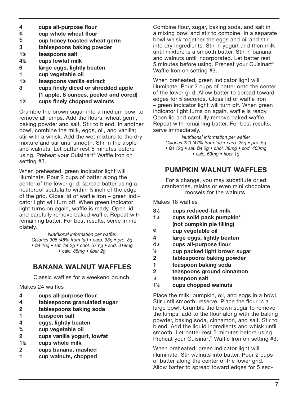- 4 cups all-purpose flour<br> $\frac{3}{4}$  cup whole wheat flour
- $\frac{3}{4}$  cup whole wheat flour<br> $\frac{3}{4}$  cup honey toasted whe
- cup honey toasted wheat germ
- 3 tablespoons baking powder
- $1\frac{1}{2}$ ⁄2 teaspoons salt
- 41 ⁄2 cups lowfat milk
- 6 large eggs, lightly beaten
- 1 cup vegetable oil
- $1\frac{1}{2}$ ⁄2 teaspoons vanilla extract
- 3 cups finely diced or shredded apple (1 apple, 8 ounces, peeled and cored)
- 11 ⁄2 cups finely chopped walnuts

Crumble the brown sugar into a medium bowl to remove all lumps. Add the flours, wheat germ, baking powder and salt. Stir to blend. In another bowl, combine the milk, eggs, oil, and vanilla; stir with a whisk. Add the wet mixture to the dry mixture and stir until smooth. Stir in the apple and walnuts. Let batter rest 5 minutes before using. Preheat your Cuisinart® Waffle Iron on setting #3.

When preheated, green indicator light will illuminate. Pour 2 cups of batter along the center of the lower grid; spread batter using a heatproof spatula to within 1/2 inch of the edge of the grid. Close lid of waffle iron – green indicator light will turn off. When green indicator light turns on again, waffle is ready. Open lid and carefully remove baked waffle. Repeat with remaining batter. For best results, serve immediately.

*Nutritional information per waffle: Calories 305 (48% from fat) • carb. 33g • pro. 8g • fat 16g • sat. fat 2g • chol. 57mg • sod. 319mg • calc. 85mg • fiber 2g*

#### Banana Walnut Waffles

Classic waffles for a weekend brunch.

Makes 24 waffles

- 4 cups all-purpose flour
- 4 tablespoons granulated sugar
- 2 tablespoons baking soda
- 1 teaspoon salt
- 4 eggs, lightly beaten
- $\frac{3}{4}$ ⁄4 cup vegetable oil
- 2 cups vanilla yogurt, lowfat
- 11 ⁄2 cups whole milk
- 2 cups banana, mashed
- 1 cup walnuts, chopped

Combine flour, sugar, baking soda, and salt in a mixing bowl and stir to combine. In a separate bowl whisk together the eggs and oil and stir into dry ingredients. Stir in yogurt and then milk until mixture is a smooth batter. Stir in banana and walnuts until incorporated. Let batter rest 5 minutes before using. Preheat your Cuisinart® Waffle Iron on setting #3.

When preheated, green indicator light will illuminate. Pour 2 cups of batter onto the center of the lower grid. Allow batter to spread toward edges for 5 seconds. Close lid of waffle iron – green indicator light will turn off. When green indicator light turns on again, waffle is ready. Open lid and carefully remove baked waffle. Repeat with remaining batter. For best results, serve immediately.

*Nutritional information per waffle: Calories 223 (47% from fat) • carb. 25g • pro. 5g • fat 12g • sat. fat 2g • chol. 38mg • sod. 403mg • calc. 63mg • fiber 1g*

#### Pumpkin Walnut Waffles

For a change, you may substitute dried cranberries, raisins or even mini chocolate morsels for the walnuts.

Makes 18 waffles

- 31 ⁄2 cups reduced-fat milk
- $1\frac{1}{2}$ ⁄2 cups solid pack pumpkin\* (not pumpkin pie filling)
- $\frac{3}{4}$ ⁄4 cup vegetable oil
- 4 large eggs, lightly beaten
- 41 cups all-purpose flour
- $\frac{1}{2}$ ⁄2 cup packed light brown sugar
- 2 tablespoons baking powder
- 1 teaspoon baking soda
- 2 teaspoons ground cinnamon
- $\frac{1}{2}$ ⁄2 teaspoon salt
- 11 ⁄2 cups chopped walnuts

Place the milk, pumpkin, oil, and eggs in a bowl. Stir until smooth; reserve. Place the flour in a large bowl. Crumble the brown sugar to remove the lumps; add to the flour along with the baking powder, baking soda, cinnamon, and salt. Stir to blend. Add the liquid ingredients and whisk until smooth. Let batter rest 5 minutes before using. Preheat your Cuisinart® Waffle Iron on setting #3.

When preheated, green indicator light will illuminate. Stir walnuts into batter. Pour 2 cups of batter along the center of the lower grid. Allow batter to spread toward edges for 5 sec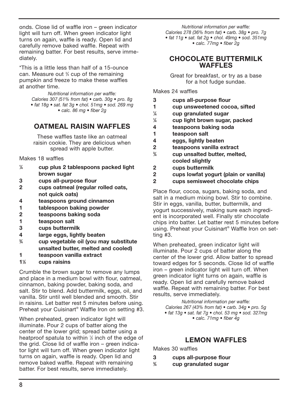onds. Close lid of waffle iron – green indicator light will turn off. When green indicator light turns on again, waffle is ready. Open lid and carefully remove baked waffle. Repeat with remaining batter. For best results, serve immediately.

\*This is a little less than half of a 15-ounce can. Measure out <sup>34</sup> cup of the remaining pumpkin and freeze to make these waffles at another time.

> *Nutritional information per waffle: Calories 307 (51% from fat) • carb. 30g • pro. 8g • fat 18g • sat. fat 3g • chol. 51mg • sod. 269 mg • calc. 86 mg • fiber 2g*

#### Oatmeal Raisin Waffles

These waffles taste like an oatmeal raisin cookie. They are delicious when spread with apple butter.

Makes 18 waffles

- $\frac{1}{4}$ ⁄4 cup plus 2 tablespoons packed light brown sugar
- 3 cups all-purpose flour
- 2 cups oatmeal (regular rolled oats, not quick oats)
- 4 teaspoons ground cinnamon
- 1 tablespoon baking powder
- 2 teaspoons baking soda
- 1 teaspoon salt
- 3 cups buttermilk
- 4 large eggs, lightly beaten
- $\frac{3}{4}$ ⁄4 cup vegetable oil (you may substitute unsalted butter, melted and cooled)
- 1 teaspoon vanilla extract
- 11 ⁄3 cups raisins

Crumble the brown sugar to remove any lumps and place in a medium bowl with flour, oatmeal, cinnamon, baking powder, baking soda, and salt. Stir to blend. Add buttermilk, eggs, oil, and vanilla. Stir until well blended and smooth. Stir in raisins. Let batter rest 5 minutes before using. Preheat your Cuisinart® Waffle Iron on setting #3.

When preheated, green indicator light will illuminate. Pour 2 cups of batter along the center of the lower grid; spread batter using a heatproof spatula to within 1/2 inch of the edge of the grid. Close lid of waffle iron – green indicator light will turn off. When green indicator light turns on again, waffle is ready. Open lid and remove baked waffle. Repeat with remaining batter. For best results, serve immediately.

*Nutritional information per waffle: Calories 278 (36% from fat) • carb. 38g • pro. 7g • fat 11g • sat. fat 2g • chol. 49mg • sod. 351mg • calc. 77mg • fiber 2g*

#### Chocolate Buttermilk WAFFI<sub>FS</sub>

Great for breakfast, or try as a base for a hot fudge sundae.

Makes 24 waffles

- 3 cups all-purpose flour
- 1 cup unsweetened cocoa, sifted
- $\frac{1}{4}$ ⁄4 cup granulated sugar
- $\frac{1}{4}$ ⁄4 cup light brown sugar, packed
- 4 teaspoons baking soda
- 1 teaspoon salt
- 4 eggs, lightly beaten
- 2 teaspoons vanilla extract
- $\frac{3}{4}$ ⁄4 cup unsalted butter, melted, cooled slightly
- 2 cups buttermilk
- 2 cups lowfat yogurt (plain or vanilla)
- 2 cups semisweet chocolate chips

Place flour, cocoa, sugars, baking soda, and salt in a medium mixing bowl. Stir to combine. Stir in eggs, vanilla, butter, buttermilk, and yogurt successively, making sure each ingredient is incorporated well. Finally stir chocolate chips into batter. Let batter rest 5 minutes before using. Preheat your Cuisinart® Waffle Iron on setting #3.

When preheated, green indicator light will illuminate. Pour 2 cups of batter along the center of the lower grid. Allow batter to spread toward edges for 5 seconds. Close lid of waffle iron – green indicator light will turn off. When green indicator light turns on again, waffle is ready. Open lid and carefully remove baked waffle. Repeat with remaining batter. For best results, serve immediately.

*Nutritional information per waffle: Calories 267 (43% from fat) • carb. 34g • pro. 5g • fat 13g • sat. fat 7g • chol. 53 mg • sod. 327mg • calc. 71mg • fiber 4g*

#### Lemon Waffles

Makes 30 waffles

- 3 cups all-purpose flour
- $\frac{3}{4}$ ⁄4 cup granulated sugar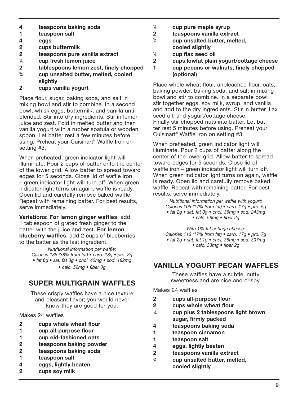- 4 teaspoons baking soda
- 1 teaspoon salt
- 4 eggs
- 2 cups buttermilk
- 2 teaspoons pure vanilla extract
- $\frac{1}{4}$ ⁄4 cup fresh lemon juice
- 2 tablespoons lemon zest, finely chopped
- $\frac{3}{4}$ ⁄4 cup unsalted butter, melted, cooled slightly
- 2 cups vanilla yogurt

Place flour, sugar, baking soda, and salt in mixing bowl and stir to combine. In a second bowl, whisk eggs, buttermilk, and vanilla until blended. Stir into dry ingredients. Stir in lemon juice and zest. Fold in melted butter and then vanilla yogurt with a rubber spatula or wooden spoon. Let batter rest a few minutes before using. Preheat your Cuisinart® Waffle Iron on setting #3.

When preheated, green indicator light will illuminate. Pour 2 cups of batter onto the center of the lower grid. Allow batter to spread toward edges for 5 seconds. Close lid of waffle iron – green indicator light will turn off. When green indicator light turns on again, waffle is ready. Open lid and carefully remove baked waffle. Repeat with remaining batter. For best results, serve immediately.

Variations: For lemon ginger waffles, add 1 tablespoon of grated fresh ginger to the batter with the juice and zest. For lemon blueberry waffles, add 2 cups of blueberries to the batter as the last ingredient.

> *Nutritional information per waffle: Calories 135 (38% from fat) • carb. 18g • pro. 3g • fat 6g • sat. fat 3g • chol. 42mg • sod. 182mg*

*• calc. 52mg • fiber 0g* 

#### SUPER MULTIGRAIN WAFFLES

These crispy waffles have a nice texture and pleasant flavor; you would never know they are good for you.

#### Makes 24 waffles

- 2 cups whole wheat flour
- 1 cup all-purpose flour
- 1 cup old-fashioned oats
- 2 teaspoons baking powder
- 2 teaspoons baking soda
- 1 teaspoon salt
- 4 eggs, lightly beaten
- 2 cups soy milk
- $\frac{1}{4}$ ⁄4 cup pure maple syrup
- 2 teaspoons vanilla extract
- $\frac{3}{4}$ ⁄4 cup unsalted butter, melted, cooled slightly
- $\frac{1}{4}$ ⁄4 cup flax seed oil
- 2 cups lowfat plain yogurt/cottage cheese
- 1 cup pecans or walnuts, finely chopped (optional)

Place whole wheat flour, unbleached flour, oats, baking powder, baking soda, and salt in mixing bowl and stir to combine. In a separate bowl stir together eggs, soy milk, syrup, and vanilla and add to the dry ingredients. Stir in butter, flax seed oil, and yogurt/cottage cheese. Finally stir chopped nuts into batter. Let batter rest 5 minutes before using. Preheat your Cuisinart® Waffle Iron on setting #3.

When preheated, green indicator light will illuminate. Pour 2 cups of batter along the center of the lower grid. Allow batter to spread toward edges for 5 seconds. Close lid of waffle iron – green indicator light will turn off. When green indicator light turns on again, waffle is ready. Open lid and carefully remove baked waffle. Repeat with remaining batter. For best results, serve immediately.

*Nutritional information per waffle with yogurt: Calories 105 (17% from fat) • carb. 17g • pro. 5g • fat 2g • sat. fat 0g • chol. 36mg • sod. 243mg • calc. 58mg • fiber 2g* 

*With 1%-fat cottage cheese: Calories 116 (17% from fat) • carb. 17g • pro. 7g • fat 2g • sat. fat 1g • chol. 36mg • sod. 307mg • calc. 33mg • fiber 2g*

#### Vanilla Yogurt Pecan Waffles

These waffles have a subtle, nutty sweetness and are nice and crispy.

Makes 24 waffles

- 2 cups all-purpose flour
- 2 cups whole wheat flour
- $\frac{1}{4}$ ⁄4 cup plus 2 tablespoons light brown sugar, firmly packed
- 4 teaspoons baking soda
- 1 teaspoon cinnamon
- 1 teaspoon salt
- 4 eggs, lightly beaten
- 2 teaspoons vanilla extract
- $\frac{3}{4}$ ⁄4 cup unsalted butter, melted, cooled slightly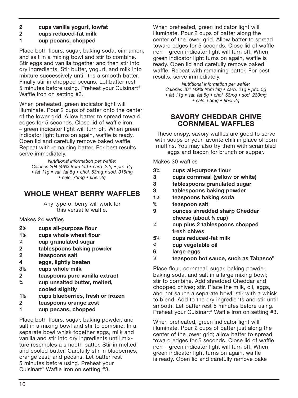- 2 cups vanilla yogurt, lowfat
- 2 cups reduced-fat milk
- 1 cup pecans, chopped

Place both flours, sugar, baking soda, cinnamon, and salt in a mixing bowl and stir to combine. Stir eggs and vanilla together and then stir into dry ingredients. Stir butter, yogurt, and milk into mixture successively until it is a smooth batter. Finally stir in chopped pecans. Let batter rest 5 minutes before using. Preheat your Cuisinart® Waffle Iron on setting #3.

When preheated, green indicator light will illuminate. Pour 2 cups of batter onto the center of the lower grid. Allow batter to spread toward edges for 5 seconds. Close lid of waffle iron – green indicator light will turn off. When green indicator light turns on again, waffle is ready. Open lid and carefully remove baked waffle. Repeat with remaining batter. For best results, serve immediately.

*Nutritional information per waffle: Calories 204 (46% from fat) • carb. 22g • pro. 6g • fat 11g • sat. fat 5g • chol. 53mg • sod. 316mg • calc. 73mg • fiber 2g*

#### Whole Wheat Berry Waffles

Any type of berry will work for this versatile waffle.

Makes 24 waffles

- 21 ⁄2 cups all-purpose flour
- $1\%$ ⁄2 cups whole wheat flour
- $\frac{1}{4}$ ⁄4 cup granulated sugar
- 2 tablespoons baking powder
- 2 teaspoons salt
- 4 eggs, lightly beaten
- 31 ⁄2 cups whole milk
- 2 teaspoons pure vanilla extract
- $\frac{3}{4}$ ⁄4 cup unsalted butter, melted, cooled slightly
- 11 cups blueberries, fresh or frozen
- 2 teaspoons orange zest
- 1 cup pecans, chopped

Place both flours, sugar, baking powder, and salt in a mixing bowl and stir to combine. In a separate bowl whisk together eggs, milk and vanilla and stir into dry ingredients until mixture resembles a smooth batter. Stir in melted and cooled butter. Carefully stir in blueberries, orange zest, and pecans. Let batter rest 5 minutes before using. Preheat your Cuisinart® Waffle Iron on setting #3.

When preheated, green indicator light will illuminate. Pour 2 cups of batter along the center of the lower grid. Allow batter to spread toward edges for 5 seconds. Close lid of waffle iron – green indicator light will turn off. When green indicator light turns on again, waffle is ready. Open lid and carefully remove baked waffle. Repeat with remaining batter. For best results, serve immediately.

*Nutritional information per waffle: Calories 201 (49% from fat) • carb. 21g • pro. 5g • fat 11g • sat. fat 5g • chol. 58mg • sod. 283mg • calc. 55mg • fiber 2g*

#### Savory Cheddar Chive Cornmeal Waffles

These crispy, savory waffles are good to serve with soups or your favorite chili in place of corn muffins. You may also try them with scrambled eggs and bacon for brunch or supper.

Makes 30 waffles

- 33 cups all-purpose flour
- 3 cups cornmeal (yellow or white)
- 3 tablespoons granulated sugar
- 3 tablespoons baking powder
- 11 ⁄2 teaspoons baking soda
- $\frac{3}{4}$ ⁄4 teaspoon salt
- 9 ounces shredded sharp Cheddar cheese (about <sup>34</sup> cup)
- $\frac{1}{4}$ ⁄4 cup plus 2 tablespoons chopped fresh chives
- 51 ⁄4 cups reduced-fat milk
- $\frac{3}{4}$ ⁄4 cup vegetable oil
- 6 large eggs
- $\frac{1}{2}$ ⁄2 teaspoon hot sauce, such as Tabasco®

Place flour, cornmeal, sugar, baking powder, baking soda, and salt in a large mixing bowl; stir to combine. Add shredded Cheddar and chopped chives; stir. Place the milk, oil, eggs, and hot sauce a separate bowl; stir with a whisk to blend. Add to the dry ingredients and stir until smooth. Let batter rest 5 minutes before using. Preheat your Cuisinart® Waffle Iron on setting #3.

When preheated, green indicator light will illuminate. Pour 2 cups of batter just along the center of the lower grid; allow batter to spread toward edges for 5 seconds. Close lid of waffle iron – green indicator light will turn off. When green indicator light turns on again, waffle is ready. Open lid and carefully remove bake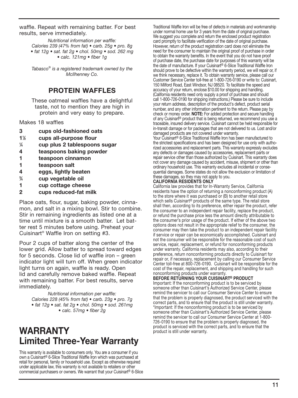waffle. Repeat with remaining batter. For best results, serve immediately.

*Nutritional information per waffle: Calories 239 (47% from fat) • carb. 25g • pro. 8g • fat 12g • sat. fat 2g • chol. 50mg • sod. 262 mg • calc. 121mg • fiber 1g*

*Tabasco*®  *is a registered trademark owned by the McIlhenney Co.*

#### PROTEIN WAFFLES

These oatmeal waffles have a delightful taste, not to mention they are high in protein and very easy to prepare.

Makes 18 waffles

- 3 cups old-fashioned oats
- 11 ⁄2 cups all-purpose flour
- $\frac{1}{4}$ ⁄4 cup plus 2 tablespoons sugar
- 4 teaspoons baking powder
- 1 teaspoon cinnamon
- 1 teaspoon salt
- 4 eggs, lightly beaten
- $\frac{3}{4}$ ⁄4 cup vegetable oil
- 1 cup cottage cheese
- 2 cups reduced-fat milk

Place oats, flour, sugar, baking powder, cinnamon, and salt in a mixing bowl. Stir to combine. Stir in remaining ingredients as listed one at a time until mixture is a smooth batter. Let batter rest 5 minutes before using. Preheat your Cuisinart® Waffle Iron on setting #3.

Pour 2 cups of batter along the center of the lower grid. Allow batter to spread toward edges for 5 seconds. Close lid of waffle iron - green indicator light will turn off. When green indicator light turns on again, waffle is ready. Open lid and carefully remove baked waffle. Repeat with remaining batter. For best results, serve immediately.

*Nutritional information per waffle: Calories 228 (45% from fat) • carb. 23g • pro. 7g • fat 12g • sat. fat 2g • chol. 50mg • sod. 261mg • calc. 57mg • fiber 2g*

### WARRANTY Limited Three-Year Warranty

This warranty is available to consumers only. You are a consumer if you own a Cuisinart® 6-Slice Traditional Waffle Iron which was purchased at retail for personal, family or household use. Except as otherwise required under applicable law, this warranty is not available to retailers or other commercial purchasers or owners. We warrant that your Cuisinart® 6-Slice Traditional Waffle Iron will be free of defects in materials and workmanship under normal home use for 3 years from the date of original purchase. We suggest you complete and return the enclosed product registration card promptly to facilitate verification of the date of original purchase. However, return of the product registration card does not eliminate the need for the consumer to maintain the original proof of purchase in order to obtain the warranty benefits. In the event that you do not have proof of purchase date, the purchase date for purposes of this warranty will be the date of manufacture. If your Cuisinart® 6-Slice Traditional Waffle Iron should prove to be defective within the warranty period, we will repair or, if we think necessary, replace it. To obtain warranty service, please call our Customer Service Center toll-free at 1-800-726-0190 or write to: Cuisinart, 150 Milford Road, East Windsor, NJ 08520. To facilitate the speed and accuracy of your return, enclose \$10.00 for shipping and handling. (California residents need only supply a proof of purchase and should call 1-800-726-0190 for shipping instructions.) Please be sure to include your return address, description of the product's defect, product serial number, and any other information pertinent to the return. Please pay by check or money order. **NOTE:** For added protection and secure handling of any Cuisinart® product that is being returned, we recommend you use a traceable, insured delivery service. Cuisinart cannot be held responsible for in-transit damage or for packages that are not delivered to us. Lost and/or damaged products are not covered under warranty. Your Cuisinart<sup>®</sup> 6-Slice Traditional Waffle Iron has been manufactured to

the strictest specifications and has been designed for use only with authorized accessories and replacement parts. This warranty expressly excludes any defects or damages caused by accessories, replacement parts or repair service other than those authorized by Cuisinart. This warranty does not cover any damage caused by accident, misuse, shipment or other than ordinary household use. This warranty excludes all incidental or consequential damages. Some states do not allow the exclusion or limitation of these damages, so they may not apply to you.

#### CALIFORNIA RESIDENTS ONLY

California law provides that for In-Warranty Service, California residents have the option of returning a nonconforming product (A) to the store where it was purchased or (B) to another retail store which sells Cuisinart® products of the same type. The retail store shall then, according to its preference, either repair the product, refer the consumer to an independent repair facility, replace the product, or refund the purchase price less the amount directly attributable to the consumer's prior usage of the product. If either of the above two options does not result in the appropriate relief to the consumer, the consumer may then take the product to an independent repair facility if service or repair can be economically accomplished. Cuisinart and not the consumer will be responsible for the reasonable cost of such service, repair, replacement, or refund for nonconforming products under warranty. California residents may also, according to their preference, return nonconforming products directly to Cuisinart for repair or, if necessary, replacement by calling our Consumer Service Center toll-free at 800-726-0190. Cuisinart will be responsible for the cost of the repair, replacement, and shipping and handling for such nonconforming products under warranty.

#### BEFORE RETURNING YOUR CUISINART® PRODUCT

Important: If the nonconforming product is to be serviced by someone other than Cuisinart's Authorized Service Center, please remind the servicer to call our Consumer Service Center to ensure that the problem is properly diagnosed, the product serviced with the correct parts, and to ensure that the product is still under warranty. \*Important: If the nonconforming product is to be serviced by someone other than Cuisinart's Authorized Service Center, please remind the servicer to call our Consumer Service Center at 1-800- 726-0190 to ensure that the problem is properly diagnosed, the product is serviced with the correct parts, and to ensure that the product is still under warranty.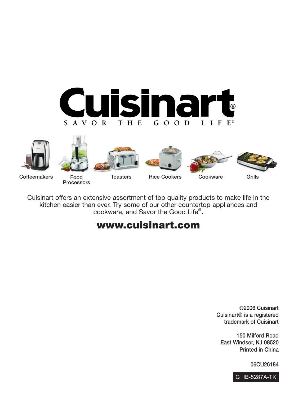













Coffeemakers Food

Processors

Cuisinart offers an extensive assortment of top quality products to make life in the kitchen easier than ever. Try some of our other countertop appliances and cookware, and Savor the Good Life®.

### www.cuisinart.com

©2006 Cuisinart Cuisinart® is a registered trademark of Cuisinart

150 Milford Road East Windsor, NJ 08520 Printed in China

06CU26184